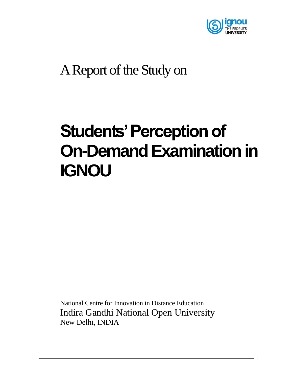

## A Report of the Study on

# **Students' Perception of On-Demand Examination in IGNOU**

National Centre for Innovation in Distance Education Indira Gandhi National Open University New Delhi, INDIA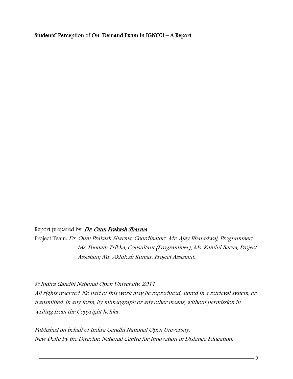#### Students' Perception of On-Demand Exam in IGNOU – A Report

#### Report prepared by. Dr. Oum Prakash Sharma

Project Team: Dr. Oum Prakash Sharma, Coordinator; Mr. Ajay Bharadwaj, Programmer; Ms. Poonam Trikha, Consultant (Programmer); Ms. Kamini Barua, Project Assistant; Mr. Akhilesh Kumar, Project Assistant.

© Indira Gandhi National Open University, 2011 All rights reserved. No part of this work may be reproduced, stored in a retrieval system, or transmitted, in any form, by mimeograph or any other means, without permission in writing from the Copyright holder.

Published on behalf of Indira Gandhi National Open University, New Delhi by the Director, National Centre for Innovation in Distance Education.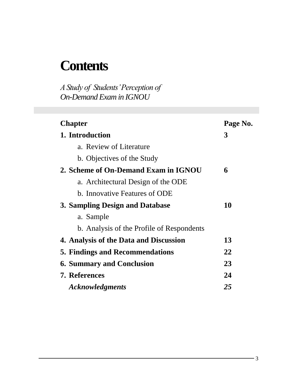## **Contents**

*A Study of Students' Perception of On-Demand Exam in IGNOU*

| <b>Chapter</b>                            | Page No. |
|-------------------------------------------|----------|
| 1. Introduction                           | 3        |
| a. Review of Literature                   |          |
| b. Objectives of the Study                |          |
| 2. Scheme of On-Demand Exam in IGNOU      | 6        |
| a. Architectural Design of the ODE        |          |
| b. Innovative Features of ODE             |          |
| 3. Sampling Design and Database           | 10       |
| a. Sample                                 |          |
| b. Analysis of the Profile of Respondents |          |
| 4. Analysis of the Data and Discussion    | 13       |
| <b>5. Findings and Recommendations</b>    | 22       |
| <b>6. Summary and Conclusion</b>          | 23       |
| <b>7. References</b>                      | 24       |
| <b>Acknowledgments</b>                    | 25       |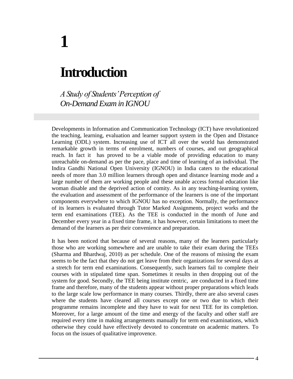## **Introduction**

**1**

*A Study of Students' Perception of On-Demand Exam in IGNOU*

Developments in Information and Communication Technology (ICT) have revolutionized the teaching, learning, evaluation and learner support system in the Open and Distance Learning (ODL) system. Increasing use of ICT all over the world has demonstrated remarkable growth in terms of enrolment, numbers of courses, and out geographical reach. In fact it has proved to be a viable mode of providing education to many unreachable on-demand as per the pace, place and time of learning of an individual. The Indira Gandhi National Open University (IGNOU) in India caters to the educational needs of more than 3.0 million learners through open and distance learning mode and a large number of them are working people and these unable access formal education like woman disable and the deprived action of comity. As in any teaching-learning system, the evaluation and assessment of the performance of the learners is one of the important components everywhere to which IGNOU has no exception. Normally, the performance of its learners is evaluated through Tutor Marked Assignments, project works and the term end examinations (TEE). As the TEE is conducted in the month of June and December every year in a fixed time frame, it has however, certain limitations to meet the demand of the learners as per their convenience and preparation.

It has been noticed that because of several reasons, many of the learners particularly those who are working somewhere and are unable to take their exam during the TEEs (Sharma and Bhardwaj, 2010) as per schedule. One of the reasons of missing the exam seems to be the fact that they do not get leave from their organizations for several days at a stretch for term end examinations. Consequently, such learners fail to complete their courses with in stipulated time span. Sometimes it results in then dropping out of the system for good. Secondly, the TEE being institute centric, are conducted in a fixed time frame and therefore, many of the students appear without proper preparations which leads to the large scale low performance in many courses. Thirdly, there are also several cases where the students have cleared all courses except one or two due to which their programme remains incomplete and they have to wait for next TEE for its completion. Moreover, for a large amount of the time and energy of the faculty and other staff are required every time in making arrangements manually for term end examinations, which otherwise they could have effectively devoted to concentrate on academic matters. To focus on the issues of qualitative improvence.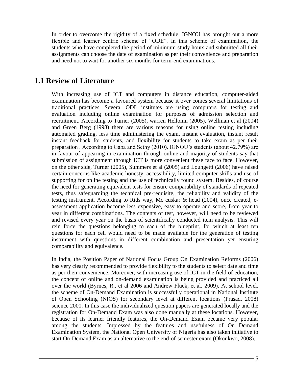In order to overcome the rigidity of a fixed schedule, IGNOU has brought out a more flexible and learner centric scheme of "ODE". In this scheme of examination, the students who have completed the period of minimum study hours and submitted all their assignments can choose the date of examination as per their convenience and preparation and need not to wait for another six months for term-end examinations.

### **1.1 Review of Literature**

With increasing use of ICT and computers in distance education, computer-aided examination has become a favoured system because it over comes several limitations of traditional practices. Several ODL institutes are using computers for testing and evaluation including online examination for purposes of admission selection and recruitment. According to Turner (2005), warren Hellomn (2005), Wellman et al (2004) and Green Berg (1998) there are various reasons for using online testing including automated grading, less time administering the exam, instant evaluation, instant result instant feedback for students, and flexibility for students to take exam as per their preparation . According to Gaba and Sethy (2010). IGNOU's students (about 42.79%) are in favour of appearing in examination through online and majority of students say that submission of assignment through ICT is more convenient these face to face. However, on the other side, Turner (2005), Summers et al (2005) and Loungetti (2006) have raised certain concerns like academic honesty, accessibility, limited computer skills and use of supporting for online testing and the use of technically found system. Besides, of course the need for generating equivalent tests for ensure comparability of standards of repeated tests, thus safeguarding the technical pre-requisite, the reliability and validity of the testing instrument. According to Rids way, Mc cuskar & head (2004), once created, eassessment application become less expensive, easy to operate and score, from year to year in different combinations. The contents of test, however, will need to be reviewed and revised every year on the basis of scientifically conducted item analysis. This will rein force the questions belonging to each of the blueprint, for which at least ten questions for each cell would need to be made available for the generation of testing instrument with questions in different combination and presentation yet ensuring comparability and equivalence.

In India, the Position Paper of National Focus Group On Examination Reforms (2006) has very clearly recommended to provide flexibility to the students to select date and time as per their convenience. Moreover, with increasing use of ICT in the field of education, the concept of online and on-demand examination is being provided and practiced all over the world (Byrnes, R., et al 2006 and Andrew Fluck, et al, 2009). At school level, the scheme of On-Demand Examination is successfully operational in National Institute of Open Schooling (NIOS) for secondary level at different locations (Prasad, 2008) science 2000. In this case the individualized question papers are generated locally and the registration for On-Demand Exam was also done manually at these locations. However, because of its learner friendly features, the On-Demand Exam became very popular among the students. Impressed by the features and usefulness of On Demand Examination System, the National Open University of Nigeria has also taken initiative to start On-Demand Exam as an alternative to the end-of-semester exam (Okonkwo, 2008).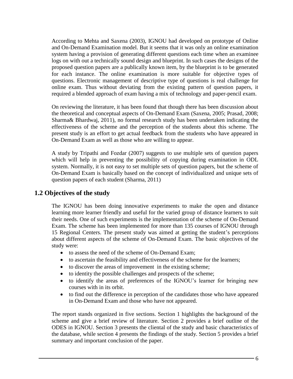According to Mehta and Saxena (2003), IGNOU had developed on prototype of Online and On-Demand Examination model. But it seems that it was only an online examination system having a provision of generating different questions each time when an examinee logs on with out a technically sound design and blueprint. In such cases the designs of the proposed question papers are a publically known item, by the blueprint is to be generated for each instance. The online examination is more suitable for objective types of questions. Electronic management of descriptive type of questions is real challenge for online exam. Thus without deviating from the existing pattern of question papers, it required a blended approach of exam having a mix of technology and paper-pencil exam.

On reviewing the literature, it has been found that though there has been discussion about the theoretical and conceptual aspects of On-Demand Exam (Saxena, 2005; Prasad, 2008; Sharma& Bhardwaj, 2011), no formal research study has been undertaken indicating the effectiveness of the scheme and the perception of the students about this scheme. The present study is an effort to get actual feedback from the students who have appeared in On-Demand Exam as well as those who are willing to appear.

A study by Tripathi and Fozdar (2007) suggests to use multiple sets of question papers which will help in preventing the possibility of copying during examination in ODL system. Normally, it is not easy to set multiple sets of question papers, but the scheme of On-Demand Exam is basically based on the concept of individualized and unique sets of question papers of each student (Sharma, 2011)

### **1.2 Objectives of the study**

The IGNOU has been doing innovative experiments to make the open and distance learning more learner friendly and useful for the varied group of distance learners to suit their needs. One of such experiments is the implementation of the scheme of On-Demand Exam. The scheme has been implemented for more than 135 courses of IGNOU through 15 Regional Centers. The present study was aimed at getting the student's perceptions about different aspects of the scheme of On-Demand Exam. The basic objectives of the study were:

- to assess the need of the scheme of On-Demand Exam;
- to ascertain the feasibility and effectiveness of the scheme for the learners;
- to discover the areas of improvement in the existing scheme;
- to identity the possible challenges and prospects of the scheme;
- to identify the areas of preferences of the IGNOU's learner for bringing new courses with in its orbit.
- to find out the difference in perception of the candidates those who have appeared in On-Demand Exam and those who have not appeared.

The report stands organized in five sections. Section 1 highlights the background of the scheme and give a brief review of literature. Section 2 provides a brief outline of the ODES in IGNOU. Section 3 presents the cliental of the study and basic characteristics of the database, while section 4 presents the findings of the study. Section 5 provides a brief summary and important conclusion of the paper.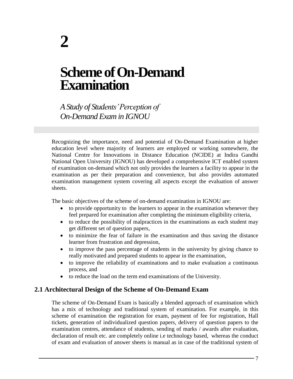## **Scheme of On-Demand Examination**

*A Study of Students' Perception of On-Demand Exam in IGNOU*

Recognizing the importance, need and potential of On-Demand Examination at higher education level where majority of learners are employed or working somewhere, the National Centre for Innovations in Distance Education (NCIDE) at Indira Gandhi National Open University (IGNOU) has developed a comprehensive ICT enabled system of examination on-demand which not only provides the learners a facility to appear in the examination as per their preparation and convenience, but also provides automated examination management system covering all aspects except the evaluation of answer sheets.

The basic objectives of the scheme of on-demand examination in IGNOU are:

- to provide opportunity to the learners to appear in the examination whenever they feel prepared for examination after completing the minimum eligibility criteria,
- to reduce the possibility of malpractices in the examinations as each student may get different set of question papers,
- to minimize the fear of failure in the examination and thus saving the distance learner from frustration and depression,
- to improve the pass percentage of students in the university by giving chance to really motivated and prepared students to appear in the examination,
- to improve the reliability of examinations and to make evaluation a continuous process, and
- to reduce the load on the term end examinations of the University.

### **2.1 Architectural Design of the Scheme of On-Demand Exam**

The scheme of On-Demand Exam is basically a blended approach of examination which has a mix of technology and traditional system of examination. For example, in this scheme of examination the registration for exam, payment of fee for registration, Hall tickets, generation of individualized question papers, delivery of question papers to the examination centres, attendance of students, sending of marks / awards after evaluation, declaration of result etc. are completely online i.e technology based, whereas the conduct of exam and evaluation of answer sheets is manual as in case of the traditional system of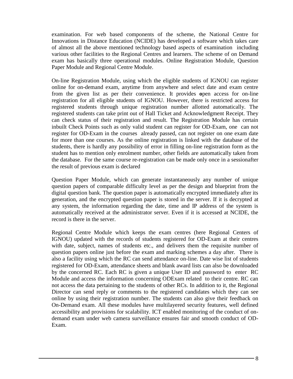examination. For web based components of the scheme, the National Centre for Innovations in Distance Education (NCIDE) has developed a software which takes care of almost all the above mentioned technology based aspects of examination including various other facilities to the Regional Centres and learners. The scheme of on Demand exam has basically three operational modules. Online Registration Module, Question Paper Module and Regional Centre Module.

On-line Registration Module, using which the eligible students of IGNOU can register online for on-demand exam, anytime from anywhere and select date and exam centre from the given list as per their convenience. It provides **o**pen access for on-line registration for all eligible students of IGNOU. However, there is restricted access for registered students through unique registration number allotted automatically. The registered students can take print out of Hall Ticket and Acknowledgment Receipt. They can check status of their registration and result. The Registration Module has certain inbuilt Check Points such as only valid student can register for OD-Exam, one can not register for OD-Exam in the courses already passed, can not register on one exam date for more than one courses. As the online registration is linked with the database of the students, there is hardly any possibility of error in filling on-line registration form as the student has to mention only enrolment number, other fields are automatically taken from the database. For the same course re-registration can be made only once in a sessionafter the result of previous exam is declared

Question Paper Module, which can generate instantaneously any number of unique question papers of comparable difficulty level as per the design and blueprint from the digital question bank. The question paper is automatically encrypted immediately after its generation, and the encrypted question paper is stored in the server. If it is decrypted at any system, the information regarding the date, time and IP address of the system is automatically received at the administrator server. Even if it is accessed at NCIDE, the record is there in the server.

Regional Centre Module which keeps the exam centres (here Regional Centers of IGNOU) updated with the records of students registered for OD-Exam at their centres with date, subject, names of students etc., and delivers them the requisite number of question papers online just before the exam and marking schemes a day after. There is also a facility using which the RC can send attendance on-line. Date wise list of students registered for OD-Exam, attendance sheets and blank award lists can also be downloaded by the concerned RC. Each RC is given a unique User ID and password to enter RC Module and access the information concerning ODExam related to their centre. RC can not access the data pertaining to the students of other RCs. In addition to it, the Regional Director can send reply or comments to the registered candidates which they can see online by using their registration number. The students can also give their feedback on On-Demand exam. All these modules have multilayered security features, well defined accessibility and provisions for scalability. ICT enabled monitoring of the conduct of ondemand exam under web camera surveillance ensures fair and smooth conduct of OD-Exam.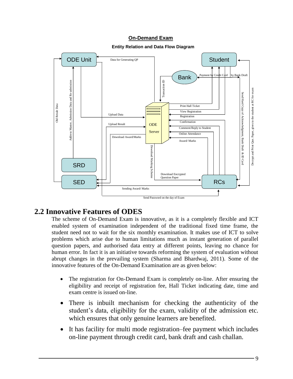#### **On-Demand Exam**



#### **Entity Relation and Data Flow Diagram**

### **2.2 Innovative Features of ODES**

The scheme of On-Demand Exam is innovative, as it is a completely flexible and ICT enabled system of examination independent of the traditional fixed time frame, the student need not to wait for the six monthly examination. It makes use of ICT to solve problems which arise due to human limitations much as instant generation of parallel question papers, and authorised data entry at different points, leaving no chance for human error. In fact it is an initiative towards reforming the system of evaluation without abrupt changes in the prevailing system (Sharma and Bhardwaj, 2011). Some of the innovative features of the On-Demand Examination are as given below:

- The registration for On-Demand Exam is completely on-line. After ensuring the eligibility and receipt of registration fee, Hall Ticket indicating date, time and exam centre is issued on-line.
- There is inbuilt mechanism for checking the authenticity of the student's data, eligibility for the exam, validity of the admission etc. which ensures that only genuine learners are benefited.
- It has facility for multi mode registration–fee payment which includes on-line payment through credit card, bank draft and cash challan.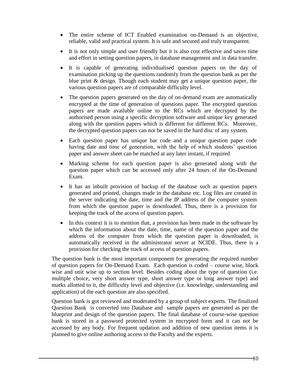- The entire scheme of ICT Enabled examination on-Demand is an objective, reliable, valid and practical system. It is safe and secured and truly transparent.
- It is not only simple and user friendly but it is also cost effective and saves time and effort in setting question papers, in database management and in data transfer.
- It is capable of generating individualised question papers on the day of examination picking up the questions randomly from the question bank as per the blue print & design. Though each student may get a unique question paper, the various question papers are of comparable difficulty level.
- The question papers generated on the day of on-demand exam are automatically encrypted at the time of generation of questions paper. The encrypted question papers are made available online to the RCs which are decrypted by the authorised person using a specific decryption software and unique key generated along with the question papers which is different for different RCs. Moreover, the decrypted question papers can not be saved in the hard disc of any system.
- Each question paper has unique bar code and a unique question paper code having date and time of generation, with the help of which students' question paper and answer sheet can be matched at any later instant, if required
- Marking scheme for each question paper is also generated along with the question paper which can be accessed only after 24 hours of the On-Demand Exam.
- It has an inbuilt provision of backup of the database such as question papers generated and printed, changes made in the database etc. Log files are created in the server indicating the date, time and the IP address of the computer system from which the question paper is downloaded. Thus, there is a provision for keeping the track of the access of question papers.
- In this context it is to mention that, a provision has been made in the software by which the information about the date, time, name of the question paper and the address of the computer from which the question paper is downloaded, is automatically received in the administrator server at NCIDE. Thus, there is a provision for checking the track of access of question papers.

The question bank is the most important component for generating the required number of question papers for On-Demand Exam. Each question is coded – course wise, block wise and unit wise up to section level. Besides coding about the type of question (i.e. multiple choice, very short answer type, short answer type or long answer type) and marks allotted to it, the difficulty level and objective (i.e. knowledge, understanding and application) of the each question are also specified.

Question bank is got reviewed and moderated by a group of subject experts. The finalized Question Bank is converted into Database and sample papers are generated as per the blueprint and design of the question papers. The final database of course-wise question bank is stored in a password protected system in encrypted form and it can not be accessed by any body. For frequent updation and addition of new question items it is planned to give online authoring access to the Faculty and the experts.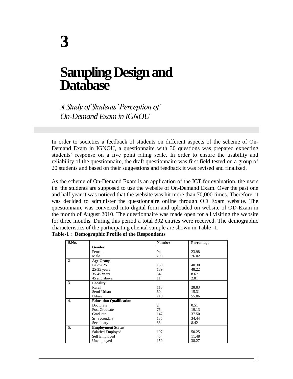## **Sampling Design and Database**

*A Study of Students' Perception of On-Demand Exam in IGNOU*

In order to societies a feedback of students on different aspects of the scheme of On-Demand Exam in IGNOU, a questionnaire with 30 questions was prepared expecting students' response on a five point rating scale. In order to ensure the usability and reliability of the questionnaire, the draft questionnaire was first field tested on a group of 20 students and based on their suggestions and feedback it was revised and finalized.

As the scheme of On-Demand Exam is an application of the ICT for evaluation, the users i.e. the students are supposed to use the website of On-Demand Exam. Over the past one and half year it was noticed that the website was hit more than 70,000 times. Therefore, it was decided to administer the questionnaire online through OD Exam website. The questionnaire was converted into digital form and uploaded on website of OD-Exam in the month of August 2010. The questionnaire was made open for all visiting the website for three months. During this period a total 392 entries were received. The demographic characteristics of the participating cliental sample are shown in Table -1.

| S.No.            |                                | <b>Number</b>  | Percentage |  |
|------------------|--------------------------------|----------------|------------|--|
| $\mathbf{1}$     | Gender                         |                |            |  |
|                  | Female                         | 94             | 23.98      |  |
|                  | Male                           | 298            | 76.02      |  |
| 2                | <b>Age Group</b>               |                |            |  |
|                  | Below 25                       | 158            | 40.30      |  |
|                  | $25-35$ years                  | 189            | 48.22      |  |
|                  | 35-45 years                    | 34             | 8.67       |  |
|                  | 45 and above                   | 11             | 2.81       |  |
| 3                | Locality                       |                |            |  |
|                  | Rural                          | 113            | 28.83      |  |
|                  | Semi-Urban                     | 60             | 15.31      |  |
|                  | Urban                          | 219            | 55.86      |  |
| $\overline{4}$ . | <b>Education Qualification</b> |                |            |  |
|                  | Doctorate                      | $\mathfrak{2}$ | 0.51       |  |
|                  | Post Graduate                  | 75             | 19.13      |  |
|                  | Graduate                       | 147            | 37.50      |  |
|                  | Sr. Secondary                  | 135            | 34.44      |  |
|                  | Secondary                      | 33             | 8.42       |  |
| 5.               | <b>Employment Status</b>       |                |            |  |
|                  | Salaried Employed              | 197            | 50.25      |  |
|                  | Self Employed                  | 45             | 11.48      |  |
|                  | Unemployed                     | 150            | 38.27      |  |

| Table-1: Demographic Profile of the Respondents |  |  |
|-------------------------------------------------|--|--|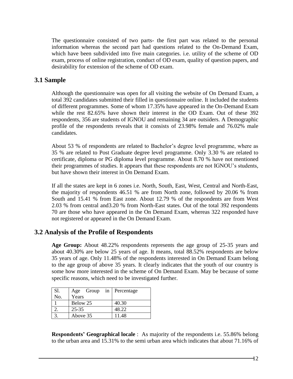The questionnaire consisted of two parts- the first part was related to the personal information whereas the second part had questions related to the On-Demand Exam, which have been subdivided into five main categories. i.e. utility of the scheme of OD exam, process of online registration, conduct of OD exam, quality of question papers, and desirability for extension of the scheme of OD exam.

### **3.1 Sample**

Although the questionnaire was open for all visiting the website of On Demand Exam, a total 392 candidates submitted their filled in questionnaire online. It included the students of different programmes. Some of whom 17.35% have appeared in the On-Demand Exam while the rest 82.65% have shown their interest in the OD Exam. Out of these 392 respondents, 356 are students of IGNOU and remaining 34 are outsiders. A Demographic profile of the respondents reveals that it consists of 23.98% female and 76.02% male candidates.

About 53 % of respondents are related to Bachelor's degree level programme, where as 35 % are related to Post Graduate degree level programme. Only 3.30 % are related to certificate, diploma or PG diploma level programme. About 8.70 % have not mentioned their programmes of studies. It appears that these respondents are not IGNOU's students, but have shown their interest in On Demand Exam.

If all the states are kept in 6 zones i.e. North, South, East, West, Central and North-East, the majority of respondents 46.51 % are from North zone, followed by 20.06 % from South and 15.41 % from East zone. About 12.79 % of the respondents are from West 2.03 % from central and3.20 % from North-East states. Out of the total 392 respondents 70 are those who have appeared in the On Demand Exam, whereas 322 responded have not registered or appeared in the On Demand Exam.

### **3.2 Analysis of the Profile of Respondents**

**Age Group:** About 48.22% respondents represents the age group of 25-35 years and about 40.30% are below 25 years of age. It means, total 88.52% respondents are below 35 years of age. Only 11.48% of the respondents interested in On Demand Exam belong to the age group of above 35 years. It clearly indicates that the youth of our country is some how more interested in the scheme of On Demand Exam. May be because of some specific reasons, which need to be investigated further.

| Sl. |           |  | Age Group in Percentage |
|-----|-----------|--|-------------------------|
| No. | Years     |  |                         |
|     | Below 25  |  | 40.30                   |
|     | $25 - 35$ |  | 48.22                   |
|     | Above 35  |  | 11.48                   |

**Respondents' Geographical locale** : As majority of the respondents i.e. 55.86% belong to the urban area and 15.31% to the semi urban area which indicates that about 71.16% of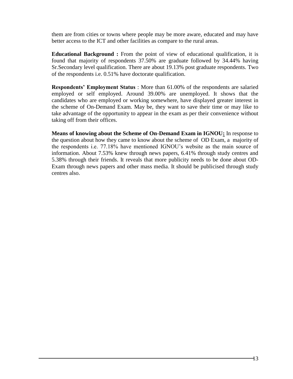them are from cities or towns where people may be more aware, educated and may have better access to the ICT and other facilities as compare to the rural areas.

**Educational Background :** From the point of view of educational qualification, it is found that majority of respondents 37.50% are graduate followed by 34.44% having Sr.Secondary level qualification. There are about 19.13% post graduate respondents. Two of the respondents i.e. 0.51% have doctorate qualification.

**Respondents' Employment Status** : More than 61.00% of the respondents are salaried employed or self employed. Around 39.00% are unemployed. It shows that the candidates who are employed or working somewhere, have displayed greater interest in the scheme of On-Demand Exam. May be, they want to save their time or may like to take advantage of the opportunity to appear in the exam as per their convenience without taking off from their offices.

**Means of knowing about the Scheme of On-Demand Exam in IGNOU:** In response to the question about how they came to know about the scheme of OD Exam, a majority of the respondents i.e. 77.18% have mentioned IGNOU's website as the main source of information. About 7.53% knew through news papers, 6.41% through study centres and 5.38% through their friends. It reveals that more publicity needs to be done about OD-Exam through news papers and other mass media. It should be publicised through study centres also.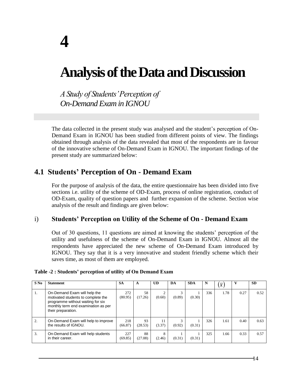## **Analysis of the Data and Discussion**

*A Study of Students' Perception of On-Demand Exam in IGNOU*

The data collected in the present study was analysed and the student's perception of On-Demand Exam in IGNOU has been studied from different points of view. The findings obtained through analysis of the data revealed that most of the respondents are in favour of the innovative scheme of On-Demand Exam in IGNOU. The important findings of the present study are summarized below:

## **4.1 Students' Perception of On - Demand Exam**

For the purpose of analysis of the data, the entire questionnaire has been divided into five sections i.e. utility of the scheme of OD-Exam, process of online registration, conduct of OD-Exam, quality of question papers and further expansion of the scheme. Section wise analysis of the result and findings are given below:

### i) **Students' Perception on Utility of the Scheme of On - Demand Exam**

Out of 30 questions, 11 questions are aimed at knowing the students' perception of the utility and usefulness of the scheme of On-Demand Exam in IGNOU. Almost all the respondents have appreciated the new scheme of On-Demand Exam introduced by IGNOU. They say that it is a very innovative and student friendly scheme which their saves time, as most of them are employed.

| $S$ No | <b>Statement</b>                                                                                                                                                     | <b>SA</b>      | A             | <b>UD</b>    | DA     | <b>SDA</b> | N   | $\overline{x}$ |      | <b>SD</b> |
|--------|----------------------------------------------------------------------------------------------------------------------------------------------------------------------|----------------|---------------|--------------|--------|------------|-----|----------------|------|-----------|
|        |                                                                                                                                                                      |                |               |              |        |            |     |                |      |           |
| 1.     | On-Demand Exam will help the<br>motivated students to complete the<br>programme without waiting for six<br>monthly term end examination as per<br>their preparation. | 272<br>(80.95) | 58<br>(17.26) | (0.60)       | (0.89) | (0.30)     | 336 | 1.78           | 0.27 | 0.52      |
| 2.     | On-Demand Exam will help to improve<br>the results of IGNOU.                                                                                                         | 218<br>(66.87) | 93<br>(28.53) | 11<br>(3.37) | (0.92) | (0.31)     | 326 | 1.61           | 0.40 | 0.63      |
| 3.     | On-Demand Exam will help students<br>in their career.                                                                                                                | 227<br>(69.85) | 88<br>(27.08) | 8<br>(2.46)  | (0.31) | (0.31)     | 325 | 1.66           | 0.33 | 0.57      |

#### **Table -2 : Students' perception of utility of On Demand Exam**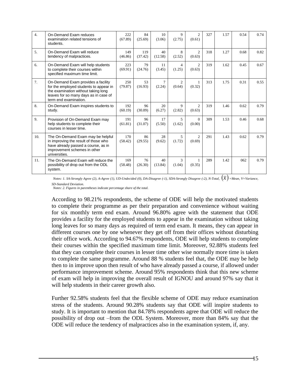| $\overline{4}$ . | On-Demand Exam reduces<br>examination related tensions of<br>students.                                                                                                                | 222<br>(67.89) | 84<br>(25.69)  | 10<br>(3.06)     | 9<br>(2.75)            | $\mathcal{L}$<br>(0.61)          | 327 | 1.57 | 0.54 | 0.74 |
|------------------|---------------------------------------------------------------------------------------------------------------------------------------------------------------------------------------|----------------|----------------|------------------|------------------------|----------------------------------|-----|------|------|------|
| 5.               | On-Demand Exam will reduce<br>tendency of malpractices.                                                                                                                               | 149<br>(46.86) | 119<br>(37.42) | 40<br>(12.58)    | 8<br>(2.52)            | $\overline{c}$<br>(0.63)         | 318 | 1.27 | 0.68 | 0.82 |
| 6.               | On-Demand Exam will help students<br>to complete their courses within<br>specified maximum time limit.                                                                                | 223<br>(69.91) | 79<br>(24.76)  | 11<br>(3.45)     | 4<br>(1.25)            | 2<br>(0.63)                      | 319 | 1.62 | 0.45 | 0.67 |
| 7.               | On-Demand Exam provides a facility<br>for the employed students to appear in<br>the examination without taking long<br>leaves for so many days as in case of<br>term end examination. | 250<br>(79.87) | 53<br>(16.93)  | $\tau$<br>(2.24) | 2<br>(0.64)            | $\mathbf{1}$<br>(0.32)           | 313 | 1.75 | 0.31 | 0.55 |
| 8.               | On-Demand Exam inspires students to<br>study.                                                                                                                                         | 192<br>(60.19) | 96<br>(30.09)  | 20<br>(6.27)     | $\mathbf{Q}$<br>(2.82) | $\mathfrak{D}$<br>(0.63)         | 319 | 1.46 | 0.62 | 0.79 |
| 9.               | Provision of On-Demand Exam may<br>help students to complete their<br>courses in lesser time.                                                                                         | 191<br>(61.81) | 96<br>(31.07)  | 17<br>(5.50)     | 5<br>(1.62)            | $\Omega$<br>(0.00)               | 309 | 1.53 | 0.46 | 0.68 |
| 10.              | The On-Demand Exam may be helpful<br>in improving the result of those who<br>have already passed a course, as in<br>improvement schemes in other<br>universities.                     | 170<br>(58.42) | 86<br>(29.55)  | 28<br>(9.62)     | 5<br>(1.72)            | $\mathcal{D}_{\alpha}$<br>(0.69) | 291 | 1.43 | 0.62 | 0.79 |
| 11.              | The On-Demand Exam will reduce the<br>possibility of drop out from the ODL<br>system.                                                                                                 | 169<br>(58.48) | 76<br>(26.30)  | 40<br>(13.84)    | 3<br>(1.04)            | (0.35)                           | 289 | 1.42 | 062  | 0.79 |

*Notes: 1. SA-Strongly Agree (2), A-Agree (1), UD-Undecided (0), DA-Disagree (-1), SDA-Strongly Disagree (-2), N-Total, x =Mean, V=Variance, SD-Standard Deviation.*

*Notes: 2. Figures in parentheses indicate percentage share of the total.*

According to 98.21% respondents, the scheme of ODE will help the motivated students to complete their programme as per their preparation and convenience without waiting for six monthly term end exam. Around 96.80% agree with the statement that ODE provides a facility for the employed students to appear in the examination without taking long leaves for so many days as required of term end exam. It means, they can appear in different courses one by one whenever they get off from their offices without disturbing their office work. According to 94.67% respondents, ODE will help students to complete their courses within the specified maximum time limit. Moreover, 92.88% students feel that they can complete their courses in lesser time other wise normally more time is taken to complete the same programme. Around 88 % students feel that, the ODE may be help then to in improve upon then result of who have already passed a course, if allowed under performance improvement scheme. Around 95% respondents think that this new scheme of exam will help in improving the overall result of IGNOU and around 97% say that it will help students in their career growth also.

Further 92.58% students feel that the flexible scheme of ODE may reduce examination stress of the students. Around 90.28% students say that ODE will inspire students to study. It is important to mention that 84.78% respondents agree that ODE will reduce the possibility of drop out –from the ODL System. Moreover, more than 84% say that the ODE will reduce the tendency of malpractices also in the examination system, if, any.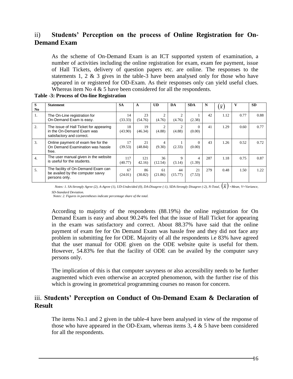### ii) **Students' Perception on the process of Online Registration for On-Demand Exam**

As the scheme of On-Demand Exam is an ICT supported system of examination, a number of activities including the online registration for exam, exam fee payment, issue of Hall Tickets, delivery of question papers etc. are online. The responses to the statements 1, 2 & 3 gives in the table-3 have been analysed only for those who have appeared in or registered for OD-Exam. As their responses only can yield useful clues. Whereas item No 4 & 5 have been considered for all the respondents.

| S              | <b>Statement</b>                                                                                 | <b>SA</b>      | A             | <b>UD</b>                | DA            | <b>SDA</b>         | N   | $\overline{x}$ | v    | <b>SD</b> |
|----------------|--------------------------------------------------------------------------------------------------|----------------|---------------|--------------------------|---------------|--------------------|-----|----------------|------|-----------|
| N <sub>0</sub> |                                                                                                  |                |               |                          |               |                    |     |                |      |           |
| 1.             | The On-Line registration for<br>On-Demand Exam is easy.                                          | 14<br>(33.33)  | 23<br>(54.76) | $\overline{2}$<br>(4.76) | 2<br>(4.76)   | (2.38)             | 42  | 1.12           | 0.77 | 0.88      |
| 2.             | The issue of Hall Ticket for appearing<br>in the On-Demand Exam was<br>satisfactory and correct. | 18<br>(43.90)  | 19<br>(46.34) | $\overline{2}$<br>(4.88) | 2<br>(4.88)   | $\Omega$<br>(0.00) | 41  | 1.29           | 0.60 | 0.77      |
| 3.             | Online payment of exam fee for the<br>On Demand Examination was hassle<br>free.                  | 17<br>(39.53)  | 21<br>(48.84) | 4<br>(9.30)              | (2.33)        | $\Omega$<br>(0.00) | 43  | 1.26           | 0.52 | 0.72      |
| 4.             | The user manual given in the website<br>is useful for the students.                              | 117<br>(40.77) | 121<br>42.16  | 36<br>(12.54)            | 9<br>(3.14)   | 4<br>(1.39)        | 287 | 1.18           | 0.75 | 0.87      |
| 5.             | The facility of On-Demand Exam can<br>be availed by the computer savvy<br>persons only.          | 67<br>(24.01)  | 86<br>(30.82) | 61<br>(21.86)            | 44<br>(15.77) | 21<br>(7.53)       | 279 | 0.48<br>$\sim$ | 1.50 | 1.22      |

#### **Table -3: Process of On-line Registration**

*Notes: 1. SA-Strongly Agree (2), A-Agree (1), UD-Undecided (0), DA-Disagree (-1), SDA-Strongly Disagree (-2), N-Total,*  $(\overline{x})$  =Mean, V=Variance, *SD-Standard Deviation.* 

*Notes: 2. Figures in parentheses indicate percentage share of the total.*

According to majority of the respondents (88.19%) the online registration for On Demand Exam is easy and about 90.24% feel that the issue of Hall Ticket for appearing in the exam was satisfactory and correct. About 88.37% have said that the online payment of exam fee for On Demand Exam was hassle free and they did not face any problem in submitting fee for ODE. Majority of all the respondents i.e 83% have agreed that the user manual for ODE given on the ODE website quite is useful for them. However, 54.83% fee that the facility of ODE can be availed by the computer savy persons only.

The implication of this is that computer savyness or also accessibility needs to be further augmented which even otherwise an accepted phenomenon, with the further rise of this which is growing in geometrical programming courses no reason for concern.

#### iii. **Students' Perception on Conduct of On-Demand Exam & Declaration of Result**

The items No.1 and 2 given in the table-4 have been analysed in view of the response of those who have appeared in the OD-Exam, whereas items  $3, 4 \& 5$  have been considered for all the respondents.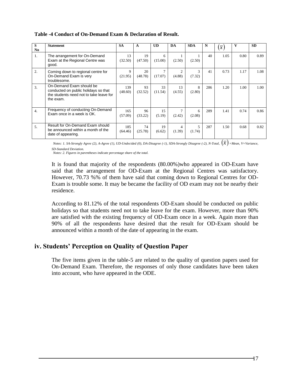|                  |                                                                                                                          |                |               |                          |              |             |     |                  | v    |           |
|------------------|--------------------------------------------------------------------------------------------------------------------------|----------------|---------------|--------------------------|--------------|-------------|-----|------------------|------|-----------|
| S                | <b>Statement</b>                                                                                                         | <b>SA</b>      | A             | <b>UD</b>                | DA           | <b>SDA</b>  | N   | $\overline{x}$ ' |      | <b>SD</b> |
| N <sub>0</sub>   |                                                                                                                          |                |               |                          |              |             |     |                  |      |           |
| 1.               | The arrangement for On-Demand<br>Exam at the Regional Centre was<br>good.                                                | 13<br>(32.50)  | 19<br>(47.50) | 6<br>(15.00)             | (2.50)       | (2.50)      | 40  | 1.05             | 0.80 | 0.89      |
| 2.               | Coming down to regional centre for<br>On-Demand Exam is very<br>troublesome.                                             | 9<br>(21.95)   | 20<br>(48.78) | $\mathcal{L}$<br>(17.07) | (4.88)       | ς<br>(7.32) | 41  | 0.73             | 1.17 | 1.08      |
| $\mathfrak{Z}$ . | On-Demand Exam should be<br>conducted on public holidays so that<br>the students need not to take leave for<br>the exam. | 139<br>(48.60) | 93<br>(32.52) | 33<br>(11.54)            | 13<br>(4.55) | 8<br>(2.80) | 286 | 1.20             | 1.00 | 1.00      |
| $\overline{4}$ . | Frequency of conducting On-Demand<br>Exam once in a week is OK.                                                          | 165<br>(57.09) | 96<br>(33.22) | 15<br>(5.19)             | (2.42)       | 6<br>(2.08) | 289 | 1.41             | 0.74 | 0.86      |
| 5.               | Result for On-Demand Exam should<br>be announced within a month of the<br>date of appearing.                             | 185<br>(64.46) | 74<br>(25.78) | 19<br>(6.62)             | 4<br>(1.39)  | (1.74)      | 287 | 1.50             | 0.68 | 0.82      |

#### **Table -4 Conduct of On-Demand Exam & Declaration of Result.**

*Notes: 1. SA-Strongly Agree (2), A-Agree (1), UD-Undecided (0), DA-Disagree (-1), SDA-Strongly Disagree (-2), N-Total,*  $(\overline{x})$  *=Mean, V=Variance, SD-Standard Deviation.* 

*Notes: 2. Figures in parentheses indicate percentage share of the total.*

It is found that majority of the respondents (80.00%)who appeared in OD-Exam have said that the arrangement for OD-Exam at the Regional Centres was satisfactory. However, 70.73 %% of them have said that coming down to Regional Centres for OD-Exam is trouble some. It may be became the facility of OD exam may not be nearby their residence.

According to 81.12% of the total respondents OD-Exam should be conducted on public holidays so that students need not to take leave for the exam. However, more than 90% are satisfied with the existing frequency of OD-Exam once in a week. Again more than 90% of all the respondents have desired that the result for OD-Exam should be announced within a month of the date of appearing in the exam.

#### **iv. Students' Perception on Quality of Question Paper**

The five items given in the table-5 are related to the quality of question papers used for On-Demand Exam. Therefore, the responses of only those candidates have been taken into account, who have appeared in the ODE.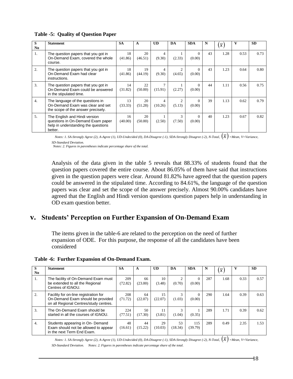| S                | <b>Statement</b>                                                                                                     | <b>SA</b>     | A             | <b>UD</b>                 | DA                       | <b>SDA</b>         | N  |                | v    | <b>SD</b> |
|------------------|----------------------------------------------------------------------------------------------------------------------|---------------|---------------|---------------------------|--------------------------|--------------------|----|----------------|------|-----------|
| N <sub>0</sub>   |                                                                                                                      |               |               |                           |                          |                    |    | $\overline{x}$ |      |           |
| 1.               | The question papers that you got in<br>On-Demand Exam, covered the whole<br>course.                                  | 18<br>(41.86) | 20<br>(46.51) | 4<br>(9.30)               | (2.33)                   | $\Omega$<br>(0.00) | 43 | 1.28           | 0.53 | 0.73      |
| 2.               | The question papers that you got in<br>On-Demand Exam had clear<br>instructions.                                     | 18<br>(41.86) | 19<br>(44.19) | 4<br>(9.30)               | (4.65)                   | $\Omega$<br>(0.00) | 43 | 1.23           | 0.64 | 0.80      |
| 3.               | The question papers that you got in<br>On-Demand Exam could be answered<br>in the stipulated time.                   | 14<br>(31.82) | 22<br>(50.00) | $\overline{7}$<br>(15.91) | (2.27)                   | (0.00)             | 44 | 1.11           | 0.56 | 0.75      |
| $\overline{4}$ . | The language of the questions in<br>On-Demand Exam was clear and set<br>the scope of the answer precisely.           | 13<br>(33.33) | 20<br>(51.28) | 4<br>(10.26)              | $\mathfrak{D}$<br>(5.13) | $\Omega$<br>(0.00) | 39 | 1.13           | 0.62 | 0.79      |
| 5.               | The English and Hindi version<br>questions in On-Demand Exam paper<br>help in understanding the questions<br>better. | 16<br>(40.00) | 20<br>(50.00) | (2.50)                    | $\mathcal{F}$<br>(7.50)  | $\Omega$<br>(0.00) | 40 | 1.23           | 0.67 | 0.82      |

#### **Table -5: Quality of Question Paper**

*Notes: 1. SA-Strongly Agree (2), A-Agree (1), UD-Undecided (0), DA-Disagree (-1), SDA-Strongly Disagree (-2), N-Total,*  $(\overline{x})$  *=Mean, V=Variance, SD-Standard Deviation.* 

*Notes: 2. Figures in parentheses indicate percentage share of the total.*

Analysis of the data given in the table 5 reveals that 88.33% of students found that the question papers covered the entire course. About 86.05% of them have said that instructions given in the question papers were clear. Around 81.82% have agreed that the question papers could be answered in the stipulated time. According to 84.61%, the language of the question papers was clear and set the scope of the answer precisely. Almost 90.00% candidates have agreed that the English and Hindi version questions question papers help in understanding in OD exam question better.

#### **v. Students' Perception on Further Expansion of On-Demand Exam**

The items given in the table-6 are related to the perception on the need of further expansion of ODE. For this purpose, the response of all the candidates have been considered

**Table -6: Further Expansion of On-Demand Exam.**

| S<br>N <sub>0</sub> | <b>Statement</b>                                                                                                     | <b>SA</b>      | A             | <b>UD</b>     | DA            | <b>SDA</b>         | N   | $\overline{x}$ |      | <b>SD</b> |
|---------------------|----------------------------------------------------------------------------------------------------------------------|----------------|---------------|---------------|---------------|--------------------|-----|----------------|------|-----------|
| 1.                  | The facility of On-Demand Exam must<br>be extended to all the Regional<br>Centres of IGNOU.                          | 209<br>(72.82) | 66<br>(23.00) | 10<br>(3.48)  | (0.70)        | $\Omega$<br>(0.00) | 287 | 1.68           | 0.33 | 0.57      |
| 2.                  | Facility for on-line registration for<br>On-Demand Exam should be provided<br>on all Regional Centres/study centres. | 208<br>(71.72) | 64<br>(22.07) | 15<br>(22.07) | (1.03)        | (0.00)             | 290 | 1.64           | 0.39 | 0.63      |
| 3.                  | The On-Demand Exam should be<br>started in all the courses of IGNOU.                                                 | 224<br>(77.51) | 50<br>(17.30) | 11<br>(3.81)  | (1.04)        | (0.35)             | 289 | 1.71           | 0.39 | 0.62      |
| 4.                  | Students appearing in On- Demand<br>Exam should not be allowed to appear<br>in the next Term End Exam.               | 48<br>(16.61)  | 44<br>(15.22) | 29<br>(10.03) | 53<br>(18.34) | 115<br>(39.79)     | 289 | 0.49           | 2.35 | 1.53      |

*Notes: 1. SA-Strongly Agree (2), A-Agree (1), UD-Undecided (0), DA-Disagree (-1), SDA-Strongly Disagree (-2), N-Total,*  $(\overline{x})$  *=Mean, V=Variance, SD-Standard Deviation. Notes: 2. Figures in parentheses indicate percentage share of the total.*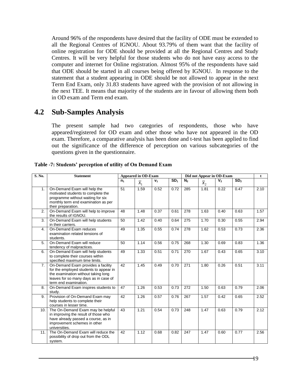Around 96% of the respondents have desired that the facility of ODE must be extended to all the Regional Centres of IGNOU. About 93.79% of them want that the facility of online registration for ODE should be provided at all the Regional Centres and Study Centres. It will be very helpful for those students who do not have easy access to the computer and internet for Online registration. Almost 95% of the respondents have said that ODE should be started in all courses being offered by IGNOU. In response to the statement that a student appearing in ODE should be not allowed to appear in the next Term End Exam, only 31.83 students have agreed with the provision of not allowing in the next TEE. It means that majority of the students are in favour of allowing them both in OD exam and Term end exam.

### **4.2 Sub-Samples Analysis**

The present sample had two categories of respondents, those who have appeared/registered for OD exam and other those who have not appeared in the OD exam. Therefore, a comparative analysis has been done and t-test has been applied to find out the significance of the difference of perception on various subcategories of the questions given in the questionnaire.

| S. No. | <b>Statement</b>                                                                                                                                                                      | <b>Appeared in OD-Exam</b> |                  |                |                 |                | Did not Appear in OD-Exam |                |                 | t    |
|--------|---------------------------------------------------------------------------------------------------------------------------------------------------------------------------------------|----------------------------|------------------|----------------|-----------------|----------------|---------------------------|----------------|-----------------|------|
|        |                                                                                                                                                                                       | $n_1$                      | $\overline{x}_1$ | V <sub>1</sub> | SD <sub>1</sub> | N <sub>2</sub> | $\overline{x}_2$          | V <sub>2</sub> | SD <sub>2</sub> |      |
| 1.     | On-Demand Exam will help the<br>motivated students to complete the<br>programme without waiting for six<br>monthly term end examination as per<br>their preparation.                  | 51                         | 1.59             | 0.52           | 0.72            | 285            | 1.81                      | 0.22           | 0.47            | 2.10 |
| 2.     | On-Demand Exam will help to improve<br>the results of IGNOU.                                                                                                                          | 48                         | 1.48             | 0.37           | 0.61            | 278            | 1.63                      | 0.40           | 0.63            | 1.57 |
| 3.     | On-Demand Exam will help students<br>in their carriers.                                                                                                                               | 50                         | 1.42             | 0.40           | 0.64            | 275            | 1.70                      | 0.30           | 0.55            | 2.94 |
| 4.     | On-Demand Exam reduces<br>examination related tensions of<br>students.                                                                                                                | 49                         | 1.35             | 0.55           | 0.74            | 278            | 1.62                      | 0.53           | 0.73            | 2.36 |
| 5.     | On-Demand Exam will reduce<br>tendency of malpractices.                                                                                                                               | 50                         | 1.14             | 0.56           | 0.75            | 268            | 1.30                      | 0.69           | 0.83            | 1.36 |
| 6.     | On-Demand Exam will help students<br>to complete their courses within<br>specified maximum time limits.                                                                               | 49                         | 1.33             | 0.51           | 0.71            | 270            | 1.67                      | 0.43           | 0.65            | 3.10 |
| 7.     | On-Demand Exam provides a facility<br>for the employed students to appear in<br>the examination without taking long<br>leaves for so many days as in case of<br>term end examination. | 42                         | 1.45             | 0.49           | 0.70            | 271            | 1.80                      | 0.26           | 0.51            | 3.11 |
| 8.     | On-Demand Exam inspires students to<br>study.                                                                                                                                         | 47                         | 1.26             | 0.53           | 0.73            | 272            | 1.50                      | 0.63           | 0.79            | 2.06 |
| 9.     | Provision of On-Demand Exam may<br>help students to complete their<br>courses in lesser time.                                                                                         | 42                         | 1.26             | 0.57           | 0.76            | 267            | 1.57                      | 0.42           | 0.65            | 2.52 |
| 10.1   | The On-Demand Exam may be helpful<br>in improving the result of those who<br>have already passed a course, as in<br>improvement schemes in other<br>universities.                     | 43                         | 1.21             | 0.54           | 0.73            | 248            | 1.47                      | 0.63           | 0.79            | 2.12 |
| 11.    | The On-Demand Exam will reduce the<br>possibility of drop out from the ODL<br>system.                                                                                                 | 42                         | 1.12             | 0.68           | 0.82            | 247            | 1.47                      | 0.60           | 0.77            | 2.56 |

**Table -7: Students' perception of utility of On Demand Exam**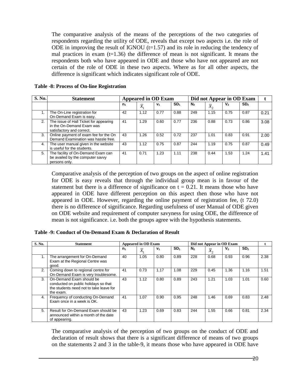The comparative analysis of the means of the perceptions of the two categories of respondents regarding the utility of ODE, reveals that except two aspects i.e. the role of ODE in improving the result of IGNOU  $(t=1.57)$  and its role in reducing the tendency of mal practices in exam  $(t=1.36)$  the difference of mean is not significant. It means the respondents both who have appeared in ODE and those who have not appeared are not certain of the role of ODE in these two aspects. Where as for all other aspects, the difference is significant which indicates significant role of ODE.

| S. No. | <b>Statement</b>                                                                                 |         |                  | <b>Appeared in OD Exam</b> |                 | Did not Appear in OD Exam |                  |         |                 |      |
|--------|--------------------------------------------------------------------------------------------------|---------|------------------|----------------------------|-----------------|---------------------------|------------------|---------|-----------------|------|
|        |                                                                                                  | $n_{1}$ | $\overline{x}_1$ | V <sub>1</sub>             | SD <sub>1</sub> | N <sub>2</sub>            | $\overline{x}_2$ | $V_{2}$ | SD <sub>2</sub> |      |
|        | The On-Line registration for<br>On-Demand Exam is easy.                                          | 42      | 1.12             | 0.77                       | 0.88            | 249                       | 1.15             | 0.75    | 0.87            | 0.21 |
| 2.     | The issue of Hall Ticket for appearing<br>in the On-Demand Exam was<br>satisfactory and correct. | 41      | 1.29             | 0.60                       | 0.77            | 236                       | 0.88             | 0.73    | 0.86            | 3.08 |
| 3.     | Online payment of exam fee for the On<br>Demand Examination was hassle free.                     | 43      | 1.26             | 0.52                       | 0.72            | 237                       | 1.01             | 0.83    | 0.91            | 2.00 |
| 4.     | The user manual given in the website<br>is useful for the students.                              | 43      | 1.12             | 0.75                       | 0.87            | 244                       | 1.19             | 0.75    | 0.87            | 0.49 |
| 5.     | The facility of On-Demand Exam can<br>be availed by the computer savvy<br>persons only.          | 41      | 0.71             | 1.23                       | 1.11            | 238                       | 0.44             | 1.53    | 1.24            | 1.41 |

#### **Table -8: Process of On-line Registration**

Comparative analysis of the perception of two groups on the aspect of online registration for ODE is easy reveals that through the individual group mean is in favour of the statement but there is a difference of significance on  $t = 0.21$ . It means those who have appeared in ODE have different perception on this aspect then those who have not appeared in ODE. However, regarding the online payment of registration fee, (t 72.0) there is no difference of significance. Regarding usefulness of user Manual of ODE given on ODE website and requirement of computer savyness for using ODE, the difference of mean is not significance. i.e. both the groups agree with the hypothesis statements.

#### **Table -9: Conduct of On-Demand Exam & Declaration of Result**

| S. No. | <b>Statement</b>                                                                                                         | <b>Appeared in OD Exam</b> |                  |                |                 | Did not Appear in OD Exam |                  |         |                 |      |
|--------|--------------------------------------------------------------------------------------------------------------------------|----------------------------|------------------|----------------|-----------------|---------------------------|------------------|---------|-----------------|------|
|        |                                                                                                                          | n <sub>1</sub>             | $\overline{x}_1$ | V <sub>1</sub> | SD <sub>1</sub> | N <sub>2</sub>            | $\overline{x}_2$ | $V_{2}$ | SD <sub>2</sub> |      |
|        | The arrangement for On-Demand<br>Exam at the Regional Centre was<br>good.                                                | 40                         | 1.05             | 0.80           | 0.89            | 228                       | 0.68             | 0.93    | 0.96            | 2.38 |
| 2.     | Coming down to regional centre for<br>On-Demand Exam is very troublesome.                                                | 41                         | 0.73             | 1.17           | 1.08            | 229                       | 0.45             | 1.36    | 1.16            | 1.51 |
| 3.     | On-Demand Exam should be<br>conducted on public holidays so that<br>the students need not to take leave for<br>the exam. | 43                         | 1.12             | 0.80           | 0.89            | 243                       | 1.21             | 1.03    | 1.01            | 0.60 |
| 4.     | Frequency of conducting On-Demand<br>Exam once in a week is OK.                                                          | 41                         | 1.07             | 0.90           | 0.95            | 248                       | 1.46             | 0.69    | 0.83            | 2.48 |
| 5.     | Result for On-Demand Exam should be<br>announced within a month of the date<br>of appearing.                             | 43                         | 1.23             | 0.69           | 0.83            | 244                       | 1.55             | 0.66    | 0.81            | 2.34 |

The comparative analysis of the perception of two groups on the conduct of ODE and declaration of result shows that there is a significant difference of means of two groups on the statements 2 and 3 in the table-9, it means those who have appeared in ODE have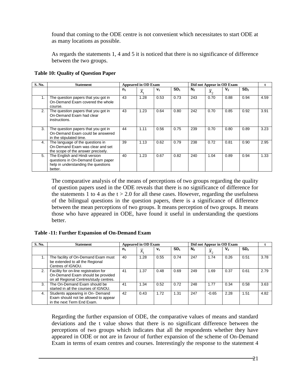found that coming to the ODE centre is not convenient which necessitates to start ODE at as many locations as possible.

As regards the statements 1, 4 and 5 it is noticed that there is no significance of difference between the two groups.

| S. No. | <b>Statement</b>                                                                                                     | <b>Appeared in OD Exam</b> |                  |                |                 | Did not Appear in OD Exam |         |         |                 |      |
|--------|----------------------------------------------------------------------------------------------------------------------|----------------------------|------------------|----------------|-----------------|---------------------------|---------|---------|-----------------|------|
|        |                                                                                                                      | $n_1$                      | $\overline{x}_1$ | V <sub>1</sub> | SD <sub>1</sub> | N <sub>2</sub>            | $x_{2}$ | $V_{2}$ | SD <sub>2</sub> |      |
|        | The question papers that you got in<br>On-Demand Exam covered the whole<br>course.                                   | 43                         | 1.28             | 0.53           | 0.73            | 243                       | 0.70    | 0.88    | 0.94            | 4.59 |
| 2.     | The question papers that you got in<br>On-Demand Exam had clear<br>instructions.                                     | 43                         | 1.23             | 0.64           | 0.80            | 242                       | 0.70    | 0.85    | 0.92            | 3.91 |
| 3.     | The question papers that you got in<br>On-Demand Exam could be answered<br>in the stipulated time.                   | 44                         | 1.11             | 0.56           | 0.75            | 239                       | 0.70    | 0.80    | 0.89            | 3.23 |
| 4.     | The language of the questions in<br>On-Demand Exam was clear and set<br>the scope of the answer precisely.           | 39                         | 1.13             | 0.62           | 0.79            | 238                       | 0.72    | 0.81    | 0.90            | 2.95 |
| 5.     | The English and Hindi version<br>questions in On-Demand Exam paper<br>help in understanding the questions<br>better. | 40                         | 1.23             | 0.67           | 0.82            | 240                       | 1.04    | 0.89    | 0.94            | 1.33 |

#### **Table 10: Quality of Question Paper**

The comparative analysis of the means of perceptions of two groups regarding the quality of question papers used in the ODE reveals that there is no significance of difference for the statements 1 to 4 as the  $t > 2.0$  for all these cases. However, regarding the usefulness of the bilingual questions in the question papers, there is a significance of difference between the mean perceptions of two groups. It means perception of two groups. It means those who have appeared in ODE, have found it useful in understanding the questions better.

#### **Table -11: Further Expansion of On-Demand Exam**

| S. No.        | <b>Statement</b>                                                                                                     | <b>Appeared in OD Exam</b> |                 |                |                 | Did not Appear in OD Exam |           |                |                 |      |
|---------------|----------------------------------------------------------------------------------------------------------------------|----------------------------|-----------------|----------------|-----------------|---------------------------|-----------|----------------|-----------------|------|
|               |                                                                                                                      | n <sub>1</sub>             | $\mathcal{X}_1$ | V <sub>1</sub> | SD <sub>1</sub> | N <sub>2</sub>            | $\lambda$ | V <sub>2</sub> | SD <sub>2</sub> |      |
|               | The facility of On-Demand Exam must<br>be extended to all the Regional<br>Centres of IGNOU.                          | 40                         | 1.28            | 0.55           | 0.74            | 247                       | 1.74      | 0.26           | 0.51            | 3.78 |
| 2.            | Facility for on-line registration for<br>On-Demand Exam should be provided<br>on all Regional Centres/study centres. | 41                         | 1.37            | 0.48           | 0.69            | 249                       | 1.69      | 0.37           | 0.61            | 2.79 |
| $\mathcal{R}$ | The On-Demand Exam should be<br>started in all the courses of IGNOU.                                                 | 41                         | 1.34            | 0.52           | 0.72            | 248                       | 1.77      | 0.34           | 0.58            | 3.63 |
| 4.            | Students appearing in On-Demand<br>Exam should not be allowed to appear<br>in the next Term End Exam.                | 42                         | 0.43            | 1.72           | 1.31            | 247                       | $-0.65$   | 2.28           | 1.51            | 4.82 |

Regarding the further expansion of ODE, the comparative values of means and standard deviations and the t value shows that there is no significant difference between the perceptions of two groups which indicates that all the respondents whether they have appeared in ODE or not are in favour of further expansion of the scheme of On-Demand Exam in terms of exam centres and courses. Interestingly the response to the statement 4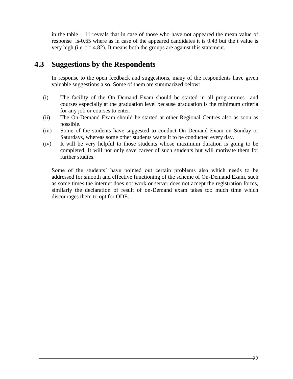in the table – 11 reveals that in case of those who have not appeared the mean value of response is-0.65 where as in case of the appeared candidates it is 0.43 but the t value is very high (i.e.  $t = 4.82$ ). It means both the groups are against this statement.

### **4.3 Suggestions by the Respondents**

In response to the open feedback and suggestions, many of the respondents have given valuable suggestions also. Some of them are summarized below:

- (i) The facility of the On Demand Exam should be started in all programmes and courses especially at the graduation level because graduation is the minimum criteria for any job or courses to enter.
- (ii) The On-Demand Exam should be started at other Regional Centres also as soon as possible.
- (iii) Some of the students have suggested to conduct On Demand Exam on Sunday or Saturdays, whereas some other students wants it to be conducted every day.
- (iv) It will be very helpful to those students whose maximum duration is going to be completed. It will not only save career of such students but will motivate them for further studies.

Some of the students' have pointed out certain problems also which needs to be addressed for smooth and effective functioning of the scheme of On-Demand Exam, such as some times the internet does not work or server does not accept the registration forms, similarly the declaration of result of on-Demand exam takes too much time which discourages them to opt for ODE.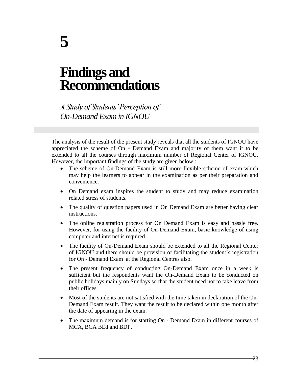## **Findings and Recommendations**

*A Study of Students' Perception of On-Demand Exam in IGNOU*

The analysis of the result of the present study reveals that all the students of IGNOU have appreciated the scheme of On - Demand Exam and majority of them want it to be extended to all the courses through maximum number of Regional Center of IGNOU. However, the important findings of the study are given below :

- The scheme of On-Demand Exam is still more flexible scheme of exam which may help the learners to appear in the examination as per their preparation and convenience.
- On Demand exam inspires the student to study and may reduce examination related stress of students.
- The quality of question papers used in On Demand Exam are better having clear instructions.
- The online registration process for On Demand Exam is easy and hassle free. However, for using the facility of On-Demand Exam, basic knowledge of using computer and internet is required.
- The facility of On-Demand Exam should be extended to all the Regional Center of IGNOU and there should be provision of facilitating the student's registration for On - Demand Exam at the Regional Centres also.
- The present frequency of conducting On-Demand Exam once in a week is sufficient but the respondents want the On-Demand Exam to be conducted on public holidays mainly on Sundays so that the student need not to take leave from their offices.
- Most of the students are not satisfied with the time taken in declaration of the On-Demand Exam result. They want the result to be declared within one month after the date of appearing in the exam.
- The maximum demand is for starting On Demand Exam in different courses of MCA, BCA BEd and BDP.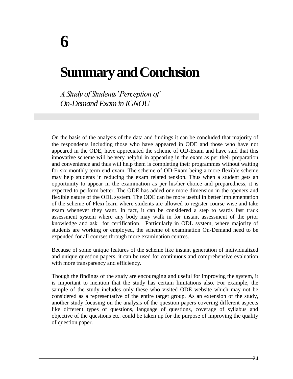## **Summary and Conclusion**

*A Study of Students' Perception of On-Demand Exam in IGNOU*

On the basis of the analysis of the data and findings it can be concluded that majority of the respondents including those who have appeared in ODE and those who have not appeared in the ODE, have appreciated the scheme of OD-Exam and have said that this innovative scheme will be very helpful in appearing in the exam as per their preparation and convenience and thus will help them is completing their programmes without waiting for six monthly term end exam. The scheme of OD-Exam being a more flexible scheme may help students in reducing the exam related tension. Thus when a student gets an opportunity to appear in the examination as per his/her choice and preparedness, it is expected to perform better. The ODE has added one more dimension in the openers and flexible nature of the ODL system. The ODE can be more useful in better implementation of the scheme of Flexi learn where students are allowed to register course wise and take exam whenever they want. In fact, it can be considered a step to wards fast track assessment system where any body may walk in for instant assessment of the prior knowledge and ask for certification. Particularly in ODL system, where majority of students are working or employed, the scheme of examination On-Demand need to be expended for all courses through more examination centres.

Because of some unique features of the scheme like instant generation of individualized and unique question papers, it can be used for continuous and comprehensive evaluation with more transparency and efficiency.

Though the findings of the study are encouraging and useful for improving the system, it is important to mention that the study has certain limitations also. For example, the sample of the study includes only these who visited ODE website which may not be considered as a representative of the entire target group. As an extension of the study, another study focusing on the analysis of the question papers covering different aspects like different types of questions, language of questions, coverage of syllabus and objective of the questions etc. could be taken up for the purpose of improving the quality of question paper.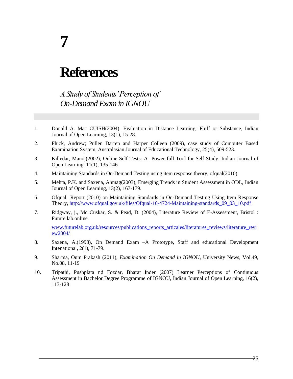# **7**

## **References**

*A Study of Students' Perception of On-Demand Exam in IGNOU*

- 1. Donald A. Mac CUISH(2004), Evaluation in Distance Learning: Fluff or Substance, Indian Journal of Open Learning, 13(1), 15-28.
- 2. Fluck, Andrew; Pullen Darren and Harper Colleen (2009), case study of Computer Based Examination System, Australasian Journal of Educational Technology, 25(4), 509-523.
- 3. Killedar, Manoj(2002), Online Self Tests: A Power full Tool for Self-Study, Indian Journal of Open Learning, 11(1), 135-146
- 4. Maintaining Standards in On-Demand Testing using item response theory, ofqual(2010).
- 5. Mehta, P.K. and Saxena, Anmag(2003), Emerging Trends in Student Assessment in ODL, Indian Journal of Open Learning, 13(2), 167-179.
- 6. Ofqual Report (2010) on Maintaining Standards in On-Demand Testing Using Item Response Theory, [http://www.ofqual.gov.uk/files/Ofqual-10-4724-Maintaining-standards\\_09\\_03\\_10.pdf](http://www.ofqual.gov.uk/files/Ofqual-10-4724-Maintaining-standards_09_03_10.pdf)
- 7. Ridgway, j., Mc Cuskar, S. & Pead, D. (2004), Literature Review of E-Assessment, Bristol : Future lab.online

[www.futurelab.org.uk/resources/publications\\_reports\\_articales/literatures\\_reviews/literature\\_revi](http://www.futurelab.org.uk/resources/publications_reports_articales/literatures_reviews/literature_review2004/) [ew2004/](http://www.futurelab.org.uk/resources/publications_reports_articales/literatures_reviews/literature_review2004/) 

- 8. Saxena, A.(1998), On Demand Exam –A Prototype, Staff and educational Development Intenational, 2(1), 71-79.
- 9. Sharma, Oum Prakash (2011), *Examination On Demand in IGNOU*, University News, Vol.49, No.08, 11-19
- 10. Tripathi, Pushplata nd Fozdar, Bharat Inder (2007) Learner Perceptions of Continuous Assessment in Bachelor Degree Programme of IGNOU, Indian Journal of Open Learning, 16(2), 113-128